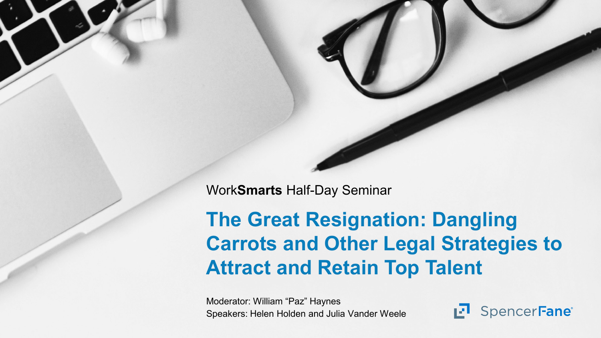Work**Smarts** Half-Day Seminar

#### **The Great Resignation: Dangling Carrots and Other Legal Strategies to Attract and Retain Top Talent**

Moderator: William "Paz" Haynes Speakers: Helen Holden and Julia Vander Weele

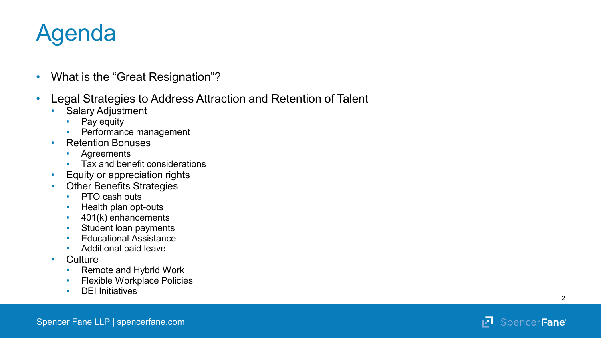#### Agenda

- 
- What is the "Great Resignation"? Legal Strategies to Address Attraction and Retention of Talent
	- Salary Adjustment
		- Pay equity
		- Performance management
	- Retention Bonuses
		- Agreements
		- Tax and benefit considerations
	- Equity or appreciation rights
	- Other Benefits Strategies
		- PTO cash outs
		- Health plan opt-outs
		- 401(k) enhancements
		- Student loan payments
		- Educational Assistance
	- Additional paid leave<br>• Culture
	- - Remote and Hybrid Work
		- Flexible Workplace Policies
		- DEI Initiatives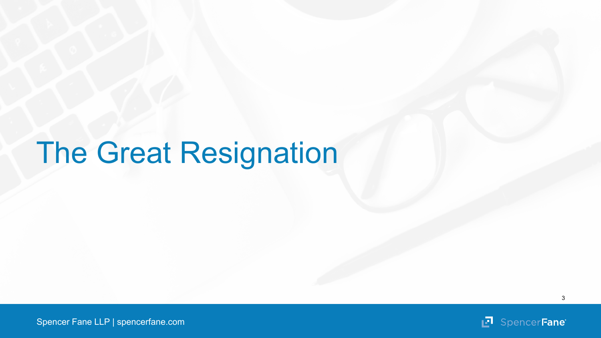# The Great Resignation

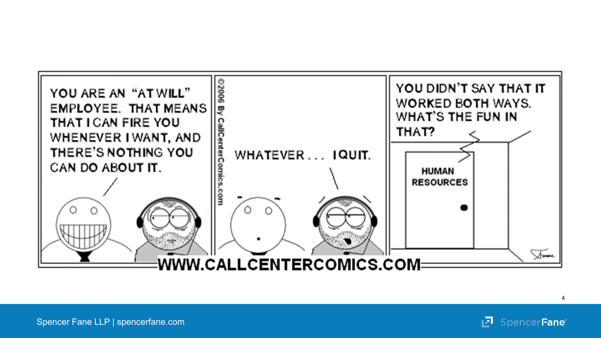

**P** SpencerFane

Spencer Fane LLP | spencerfane.com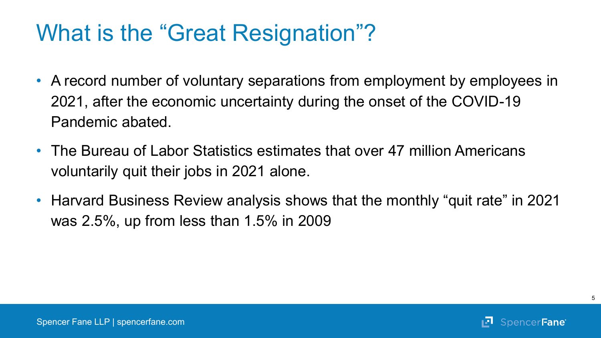#### What is the "Great Resignation"?

- A record number of voluntary separations from employment by employees in 2021, after the economic uncertainty during the onset of the COVID-19 Pandemic abated.
- The Bureau of Labor Statistics estimates that over 47 million Americans voluntarily quit their jobs in 2021 alone.
- Harvard Business Review analysis shows that the monthly "quit rate" in 2021 was 2.5%, up from less than 1.5% in 2009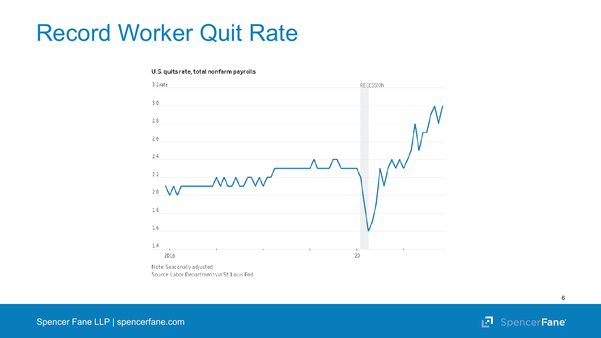#### Record Worker Quit Rate

#### U.S. quits rate, total nonfarm payrolls



**7** SpencerFane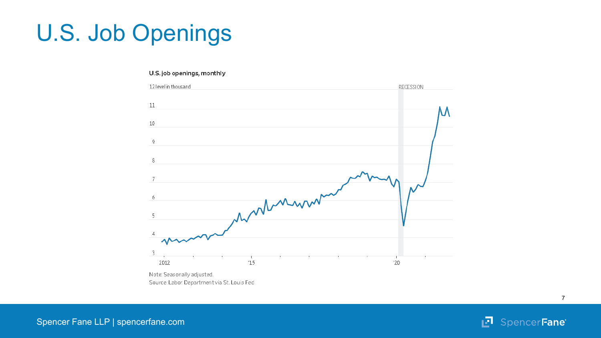## U.S. Job Openings

#### U.S. job openings, monthly



⊮ा SpencerFane®

7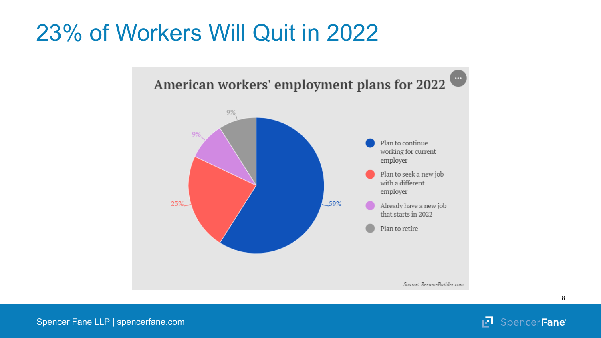#### 23% of Workers Will Quit in 2022



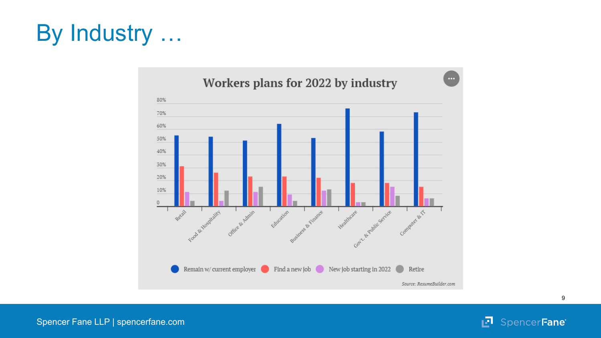### By Industry …



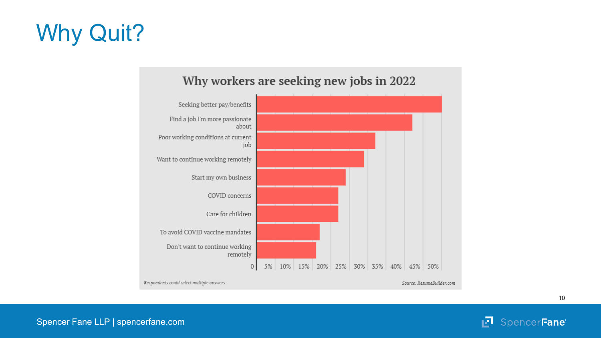## Why Quit?



#### Why workers are seeking new jobs in 2022

SpencerFane<sup>®</sup> ıл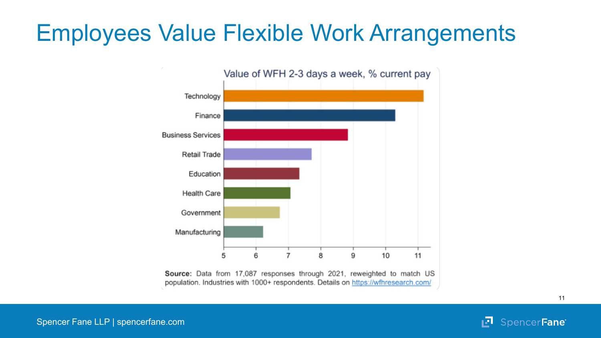#### Employees Value Flexible Work Arrangements



ıЛ SpencerFane®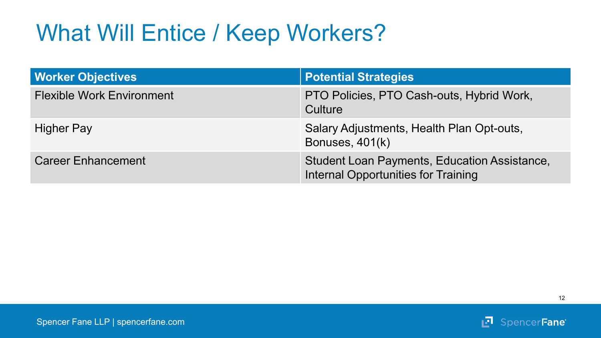#### What Will Entice / Keep Workers?

| <b>Worker Objectives</b>         | <b>Potential Strategies</b>                                                         |
|----------------------------------|-------------------------------------------------------------------------------------|
| <b>Flexible Work Environment</b> | PTO Policies, PTO Cash-outs, Hybrid Work,<br>Culture                                |
| <b>Higher Pay</b>                | Salary Adjustments, Health Plan Opt-outs,<br>Bonuses, 401(k)                        |
| <b>Career Enhancement</b>        | Student Loan Payments, Education Assistance,<br>Internal Opportunities for Training |

12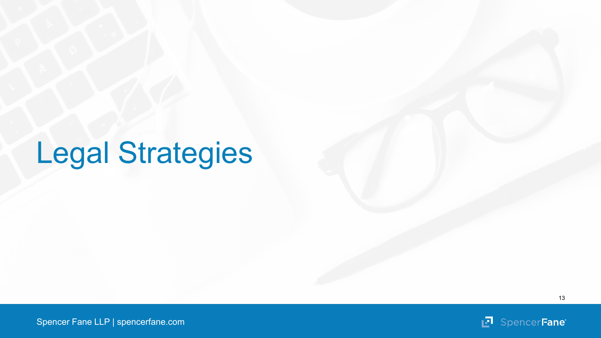# Legal Strategies

回

Spencer Fane LLP | spencerfane.com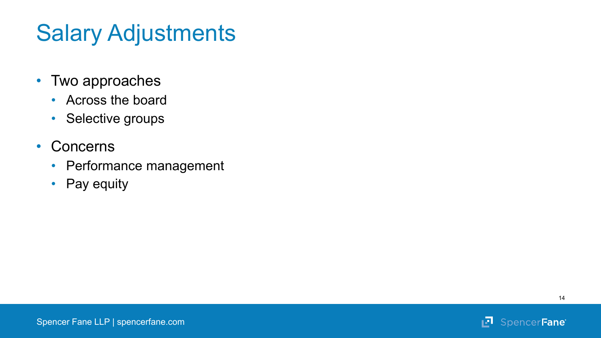### Salary Adjustments

- Two approaches
	- Across the board
	- Selective groups
- Concerns
	- Performance management
	- Pay equity

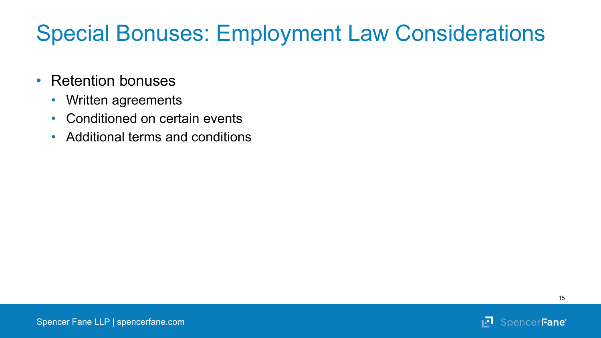#### Special Bonuses: Employment Law Considerations

- Retention bonuses
	- Written agreements
	- Conditioned on certain events
	- Additional terms and conditions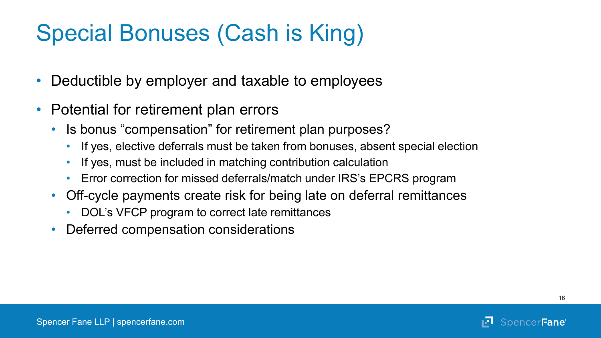### Special Bonuses (Cash is King)

- Deductible by employer and taxable to employees
- Potential for retirement plan errors
	- Is bonus "compensation" for retirement plan purposes?
		- If yes, elective deferrals must be taken from bonuses, absent special election
		- If yes, must be included in matching contribution calculation
		- Error correction for missed deferrals/match under IRS's EPCRS program
	- Off-cycle payments create risk for being late on deferral remittances
		- DOL's VFCP program to correct late remittances
	- Deferred compensation considerations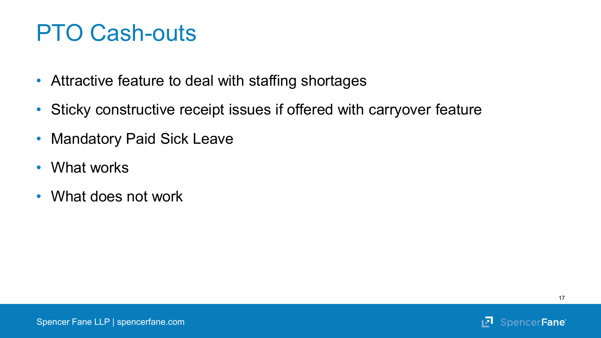#### PTO Cash-outs

- Attractive feature to deal with staffing shortages
- Sticky constructive receipt issues if offered with carryover feature
- Mandatory Paid Sick Leave
- What works
- What does not work

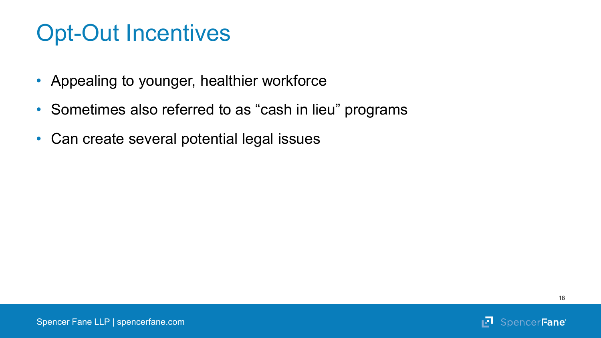#### Opt-Out Incentives

- Appealing to younger, healthier workforce
- Sometimes also referred to as "cash in lieu" programs
- Can create several potential legal issues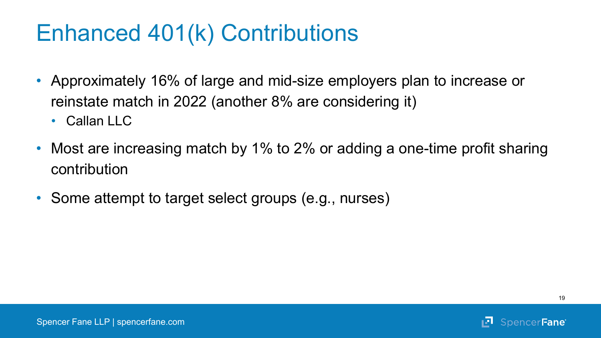- Approximately 16% of large and mid-size employers plan to increase or reinstate match in 2022 (another 8% are considering it)
	- $\cdot$  Callan IIC
- Most are increasing match by 1% to 2% or adding a one-time profit sharing contribution
- Some attempt to target select groups (e.g., nurses)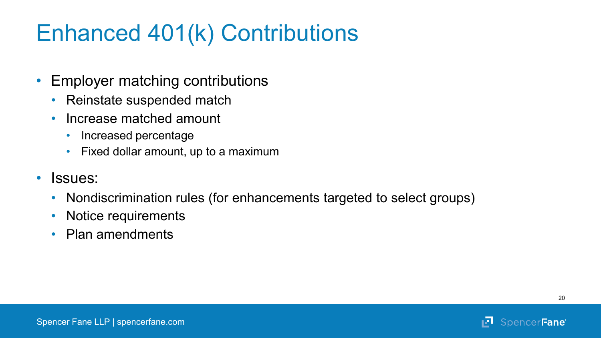- Employer matching contributions
	- Reinstate suspended match
	- Increase matched amount
		- Increased percentage
		- Fixed dollar amount, up to a maximum
- Issues:
	- Nondiscrimination rules (for enhancements targeted to select groups)
	- Notice requirements
	- Plan amendments

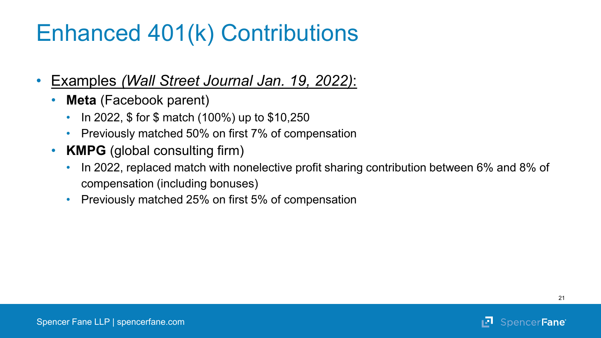- Examples *(Wall Street Journal Jan. 19, 2022)*:
	- **Meta** (Facebook parent)
		- In 2022, \$ for \$ match (100%) up to \$10,250
		- Previously matched 50% on first 7% of compensation
	- **KMPG** (global consulting firm)
		- In 2022, replaced match with nonelective profit sharing contribution between 6% and 8% of compensation (including bonuses)
		- Previously matched 25% on first 5% of compensation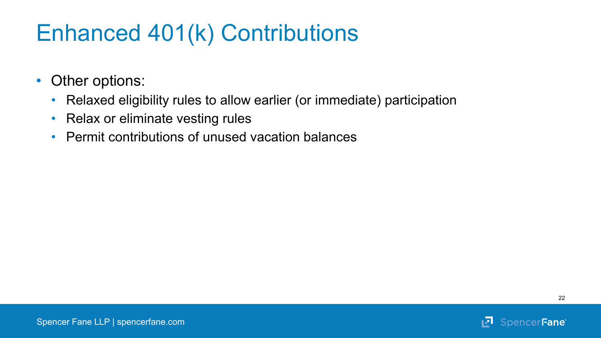- Other options:
	- Relaxed eligibility rules to allow earlier (or immediate) participation
	- Relax or eliminate vesting rules
	- Permit contributions of unused vacation balances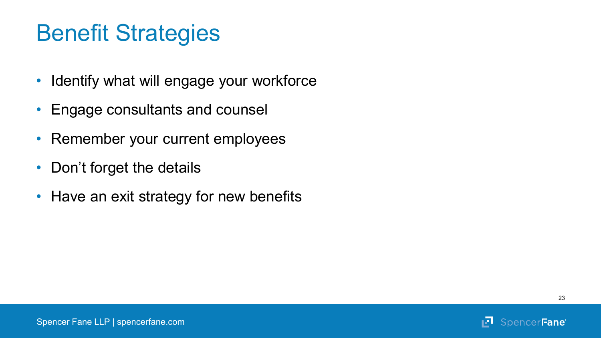#### Benefit Strategies

- Identify what will engage your workforce
- Engage consultants and counsel
- Remember your current employees
- Don't forget the details
- Have an exit strategy for new benefits

ıЛ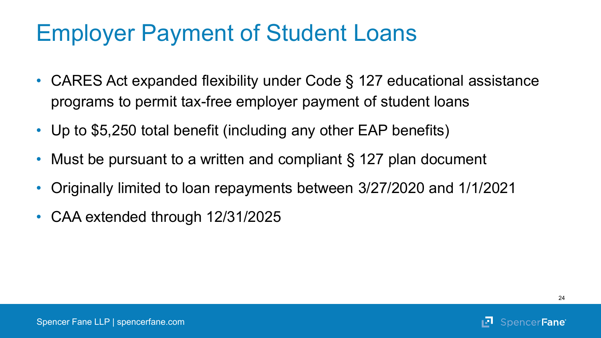#### Employer Payment of Student Loans

- CARES Act expanded flexibility under Code § 127 educational assistance programs to permit tax-free employer payment of student loans
- Up to \$5,250 total benefit (including any other EAP benefits)
- Must be pursuant to a written and compliant § 127 plan document
- Originally limited to loan repayments between 3/27/2020 and 1/1/2021
- CAA extended through 12/31/2025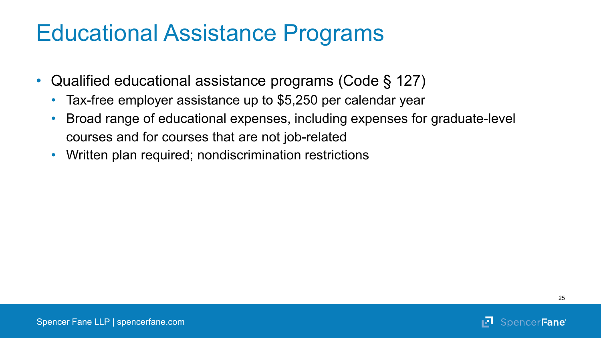#### Educational Assistance Programs

- Qualified educational assistance programs (Code § 127)
	- Tax-free employer assistance up to \$5,250 per calendar year
	- Broad range of educational expenses, including expenses for graduate-level courses and for courses that are not job-related
	- Written plan required; nondiscrimination restrictions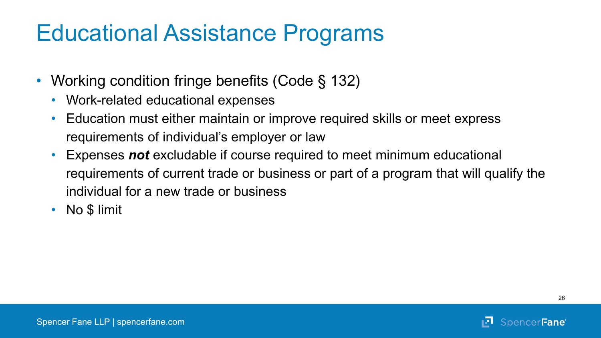#### Educational Assistance Programs

- Working condition fringe benefits (Code § 132)
	- Work-related educational expenses
	- Education must either maintain or improve required skills or meet express requirements of individual's employer or law
	- Expenses *not* excludable if course required to meet minimum educational requirements of current trade or business or part of a program that will qualify the individual for a new trade or business
	- No \$ limit

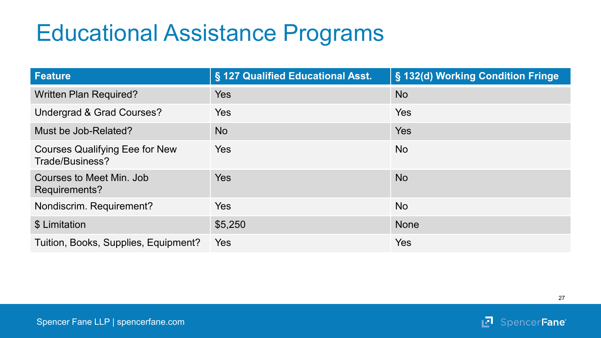#### Educational Assistance Programs

| <b>Feature</b>                                           | § 127 Qualified Educational Asst. | § 132(d) Working Condition Fringe |
|----------------------------------------------------------|-----------------------------------|-----------------------------------|
| <b>Written Plan Required?</b>                            | Yes                               | <b>No</b>                         |
| Undergrad & Grad Courses?                                | Yes                               | <b>Yes</b>                        |
| Must be Job-Related?                                     | <b>No</b>                         | <b>Yes</b>                        |
| <b>Courses Qualifying Eee for New</b><br>Trade/Business? | Yes                               | <b>No</b>                         |
| Courses to Meet Min. Job<br>Requirements?                | Yes                               | <b>No</b>                         |
| Nondiscrim. Requirement?                                 | Yes                               | <b>No</b>                         |
| \$ Limitation                                            | \$5,250                           | <b>None</b>                       |
| Tuition, Books, Supplies, Equipment?                     | Yes                               | <b>Yes</b>                        |

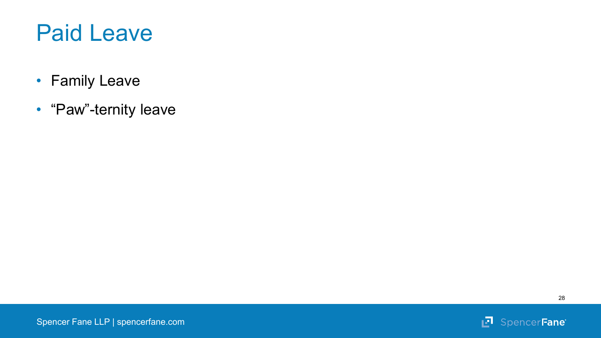

- Family Leave
- "Paw"-ternity leave



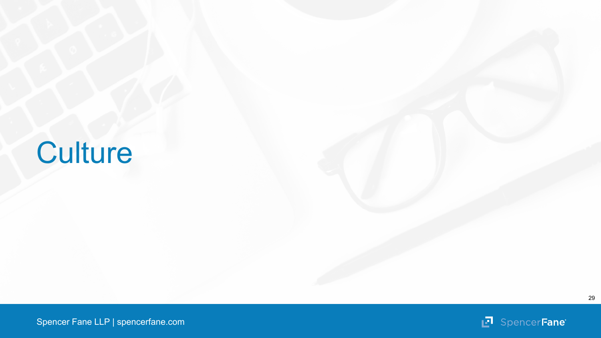## **Culture**

29

Spencer Fane LLP | spencerfane.com

**F** SpencerFane®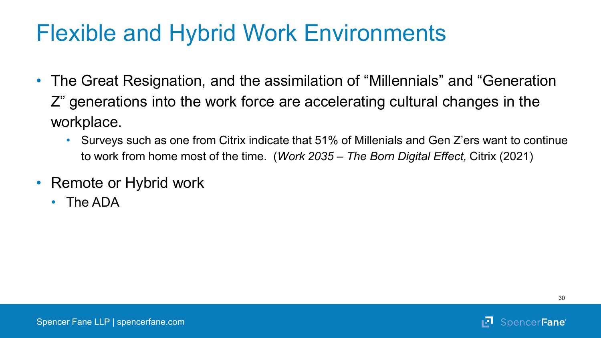#### Flexible and Hybrid Work Environments

- The Great Resignation, and the assimilation of "Millennials" and "Generation Z" generations into the work force are accelerating cultural changes in the workplace.
	- Surveys such as one from Citrix indicate that 51% of Millenials and Gen Z'ers want to continue to work from home most of the time. (*Work 2035 – The Born Digital Effect,* Citrix (2021)
- Remote or Hybrid work
	- The ADA

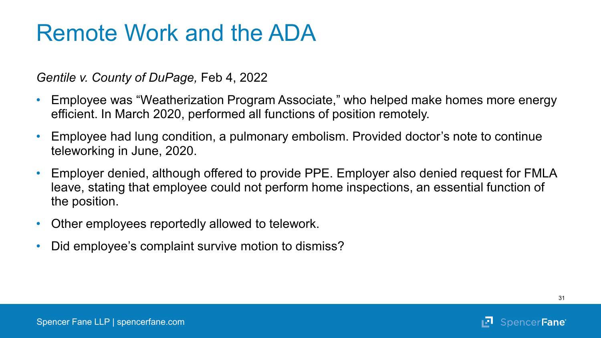#### Remote Work and the ADA

*Gentile v. County of DuPage,* Feb 4, 2022

- Employee was "Weatherization Program Associate," who helped make homes more energy efficient. In March 2020, performed all functions of position remotely.
- Employee had lung condition, a pulmonary embolism. Provided doctor's note to continue teleworking in June, 2020.
- Employer denied, although offered to provide PPE. Employer also denied request for FMLA leave, stating that employee could not perform home inspections, an essential function of the position.
- Other employees reportedly allowed to telework.
- Did employee's complaint survive motion to dismiss?

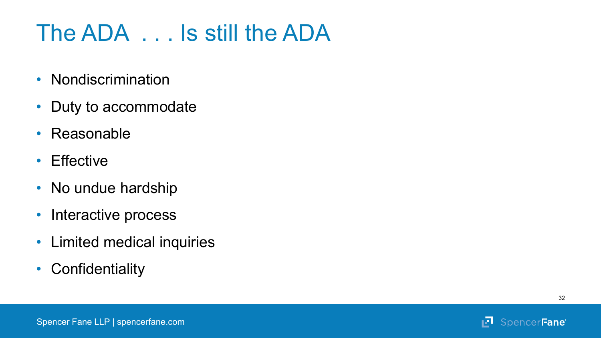### The ADA . . . Is still the ADA

- Nondiscrimination
- Duty to accommodate
- Reasonable
- Effective
- No undue hardship
- Interactive process
- Limited medical inquiries
- Confidentiality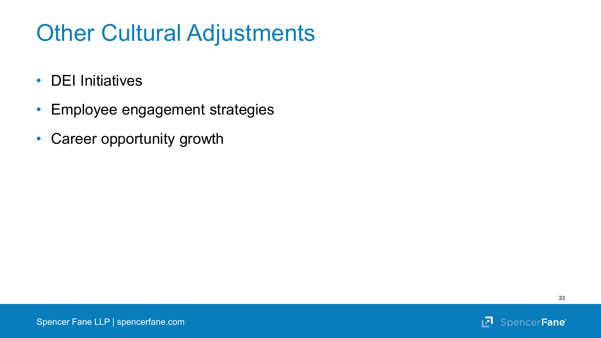### Other Cultural Adjustments

- DEI Initiatives
- Employee engagement strategies
- Career opportunity growth

ņЛ.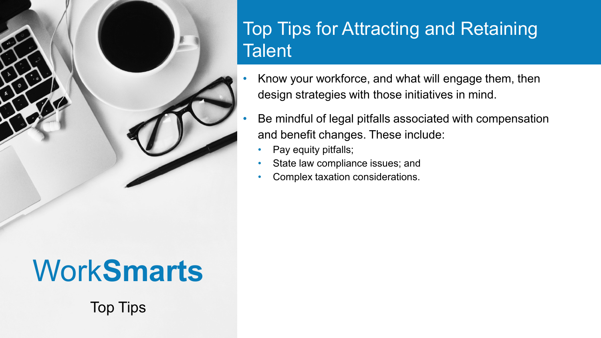

#### Top Tips for Attracting and Retaining **Talent**

- Know your workforce, and what will engage them, then design strategies with those initiatives in mind.
- Be mindful of legal pitfalls associated with compensation and benefit changes. These include:
	- Pay equity pitfalls;
	- State law compliance issues; and
	- Complex taxation considerations.

## Work**Smarts**

Top Tips